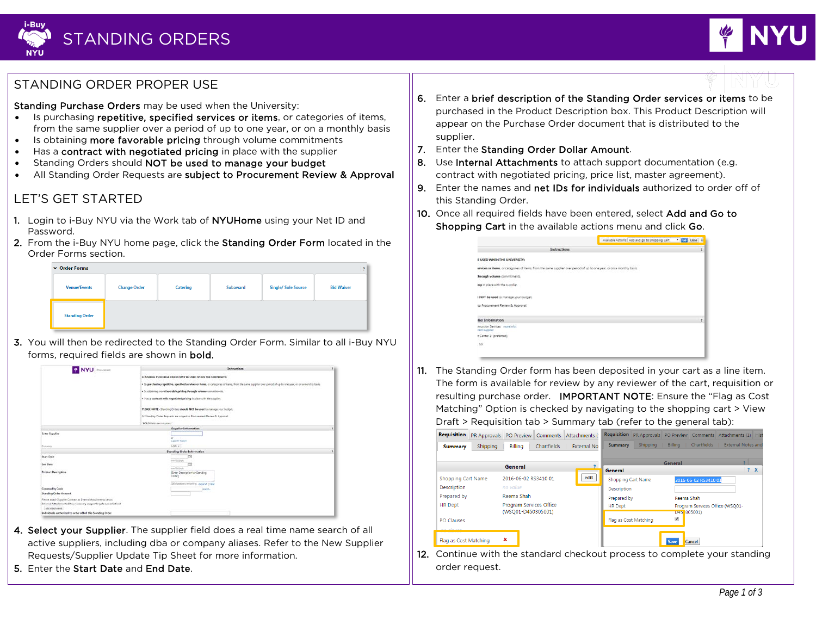



## STANDING ORDER PROPER USE

Standing Purchase Orders may be used when the University:

- Is purchasing repetitive, specified services or items, or categories of items, from the same supplier over a period of up to one year, or on a monthly basis
- Is obtaining more favorable pricing through volume commitments
- Has a contract with negotiated pricing in place with the supplier
- Standing Orders should NOT be used to manage your budget
- All Standing Order Requests are subject to Procurement Review & Approval

## LET'S GET STARTED

- 1. Login to i-Buy NYU via the Work tab of NYUHome using your Net ID and Password.
- 2. From the i-Buy NYU home page, click the Standing Order Form located in the Order Forms section.

| v Order Forms         |                     |          |          |                            | <sup>2</sup>      |
|-----------------------|---------------------|----------|----------|----------------------------|-------------------|
| <b>Venue/Events</b>   | <b>Change Order</b> | Catering | Subaward | <b>Single/ Sole Source</b> | <b>Bid Waiver</b> |
| <b>Standing Order</b> |                     |          |          |                            |                   |

3. You will then be redirected to the Standing Order Form. Similar to all i-Buy NYU forms, required fields are shown in bold.

| Poturerent                                                                                                                          | Instructions                                                                                                                                                 |   |
|-------------------------------------------------------------------------------------------------------------------------------------|--------------------------------------------------------------------------------------------------------------------------------------------------------------|---|
|                                                                                                                                     | STANDING PURCHASE ORDER MAY BE USED WHEN THE UNIVERSITY:                                                                                                     |   |
|                                                                                                                                     | . Is purchasing repetitive, specified services or items, or categories of herrs, from the same supplier over period of up to one year, or on a monthly basis |   |
|                                                                                                                                     | . In obtaining more fases able pricing through volume commitments.                                                                                           |   |
|                                                                                                                                     | . For a contract with negotiated pricing in place with the supplier.                                                                                         |   |
|                                                                                                                                     | PEEASE NOTE - Standing Criters should NOT be used to manage your budget.                                                                                     |   |
|                                                                                                                                     | All Standing Order Requests are subject to Procurement Review & Approval.                                                                                    |   |
|                                                                                                                                     | "BCLO fields are required."                                                                                                                                  |   |
|                                                                                                                                     | <b>Supplier Information</b>                                                                                                                                  |   |
| <b>Enter Supplies</b>                                                                                                               | or<br><b>Gundler Search</b>                                                                                                                                  |   |
| Currency                                                                                                                            | $USD +$                                                                                                                                                      |   |
|                                                                                                                                     | <b>Standing Order Information</b>                                                                                                                            | × |
| <b>Start Date</b>                                                                                                                   | в                                                                                                                                                            |   |
| <b>End Date</b>                                                                                                                     | meyablyggy<br>n                                                                                                                                              |   |
| <b>Product Description</b>                                                                                                          | mm/dd/ys/y<br>(Enter Description for Standing)<br>Order?<br><b>Itidaudes</b> letaility egand (deir                                                           |   |
| Connectity Code                                                                                                                     | <b>SERVICE</b>                                                                                                                                               |   |
| Standing Crder Amount                                                                                                               |                                                                                                                                                              |   |
| Please attach Supplier Contract as External Acta University Leipin<br>Internal Attachments (Any necessary supporting documentation) |                                                                                                                                                              |   |
| ASEABADYNES                                                                                                                         |                                                                                                                                                              |   |
| Individuals authorized to order off of this Standing Urder                                                                          |                                                                                                                                                              |   |

- 4. Select your Supplier. The supplier field does a real time name search of all active suppliers, including dba or company aliases. Refer to the New Supplier Requests/Supplier Update Tip Sheet for more information.
- 5. Enter the Start Date and End Date.
- 6. Enter a brief description of the Standing Order services or items to be purchased in the Product Description box. This Product Description will appear on the Purchase Order document that is distributed to the supplier.
- 7. Enter the Standing Order Dollar Amount.
- 8. Use Internal Attachments to attach support documentation (e.g. contract with negotiated pricing, price list, master agreement).
- 9. Enter the names and net IDs for individuals authorized to order off of this Standing Order.
- 10. Once all required fields have been entered, select Add and Go to Shopping Cart in the available actions menu and click Go.

|                                                                                                                       | Available Actions: Add and go to Shopping Cart | C Close |
|-----------------------------------------------------------------------------------------------------------------------|------------------------------------------------|---------|
| <b>Instructions</b>                                                                                                   |                                                | t.      |
| E USED WHEN THE UNIVERSITY:                                                                                           |                                                |         |
| ervices or items, or categories of items, from the same supplier over period of up to one year, or on a monthly basis |                                                |         |
| through volume commitments.                                                                                           |                                                |         |
| ing in place with the supplier.                                                                                       |                                                |         |
| I NOT be used to manage your budget.                                                                                  |                                                |         |
| to Procurement Review & Approval.                                                                                     |                                                |         |
| dier Information                                                                                                      |                                                | r.      |
| struction Services more info.<br><b>Harri supplier</b>                                                                |                                                |         |
| n Center 1: (preferred)                                                                                               |                                                |         |
| 1500                                                                                                                  |                                                |         |

11. The Standing Order form has been deposited in your cart as a line item. The form is available for review by any reviewer of the cart, requisition or resulting purchase order. IMPORTANT NOTE: Ensure the "Flag as Cost Matching" Option is checked by navigating to the shopping cart > View Draft > Requisition tab > Summary tab (refer to the general tab):

| <b>Requisition</b>    | PR Approvals    |                         |                    | PO Preview Comments Attachments ( |                       | <b>Requisition</b> PR Approvals PO Preview Comments Attachments (1) Hist |                      |                      |                                 |     |  |
|-----------------------|-----------------|-------------------------|--------------------|-----------------------------------|-----------------------|--------------------------------------------------------------------------|----------------------|----------------------|---------------------------------|-----|--|
| <b>Summary</b>        | <b>Shipping</b> | Billing                 | <b>Chartfields</b> | <b>External No</b>                | <b>Summary</b>        | Shipping                                                                 | <b>Billing</b>       | Chartfields          | <b>External Notes and</b>       |     |  |
|                       |                 |                         |                    |                                   |                       |                                                                          | General              |                      |                                 |     |  |
|                       |                 | General                 |                    |                                   | General               |                                                                          |                      |                      |                                 | ? X |  |
| Shopping Cart Name    |                 | 2016-06-02 RS3410 01    |                    | edit                              | Shopping Cart Name    |                                                                          |                      | 2016-06-02 RS3410 01 |                                 |     |  |
| <b>Description</b>    |                 | no value                |                    |                                   | Description           |                                                                          |                      |                      |                                 |     |  |
| Prepared by           |                 | Reema Shah              |                    |                                   | Prepared by           |                                                                          | Reema Shah           |                      |                                 |     |  |
| <b>HR</b> Dept        |                 | Program Services Office |                    |                                   | <b>HR</b> Dept        |                                                                          |                      |                      | Program Services Office (WSQ01- |     |  |
| PO Clauses            |                 | (WSQ01-D450305001)      |                    |                                   | Flag as Cost Matching |                                                                          | $U(45)$ 305001)<br>✔ |                      |                                 |     |  |
| Flag as Cost Matching |                 | ×                       |                    |                                   |                       |                                                                          | Save                 | Cancel               |                                 |     |  |

12. Continue with the standard checkout process to complete your standing order request.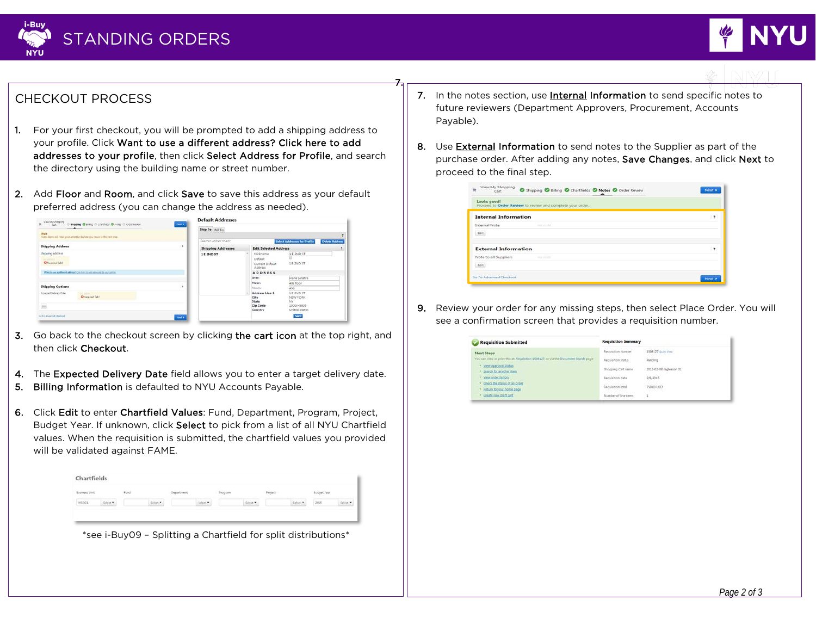



## CHECKOUT PROCESS

- 1. For your first checkout, you will be prompted to add a shipping address to your profile. Click Want to use a different address? Click here to add addresses to your profile, then click Select Address for Profile, and search the directory using the building name or street number.
- 2. Add Floor and Room, and click Save to save this address as your default preferred address (you can change the address as needed).



- 3. Go back to the checkout screen by clicking the cart icon at the top right, and then click Checkout.
- 4. The Expected Delivery Date field allows you to enter a target delivery date.
- 5. Billing Information is defaulted to NYU Accounts Payable.
- 6. Click Edit to enter Chartfield Values: Fund, Department, Program, Project, Budget Year. If unknown, click Select to pick from a list of all NYU Chartfield values. When the requisition is submitted, the chartfield values you provided will be validated against FAME.

| Business Unit |                     | Fund |                                 | Department |                            | Program |         | Project |              | Budget Year |                     |
|---------------|---------------------|------|---------------------------------|------------|----------------------------|---------|---------|---------|--------------|-------------|---------------------|
| woget         | Select <sup>*</sup> |      | $f$ elect $\blacktriangleright$ |            | Select <sup>*</sup><br>--- |         | felen." |         | Select.<br>۰ | 2015        | Select <sup>w</sup> |

\*see i-Buy09 – Splitting a Chartfield for split distributions\*

7. In the notes section, use **Internal Information** to send specific notes to future reviewers (Department Approvers, Procurement, Accounts Payable).

7.

8. Use **External Information** to send notes to the Supplier as part of the purchase order. After adding any notes, Save Changes, and click Next to proceed to the final step.

| View My Shopping<br>Shipping C Billing C Chartfields C Notes C Order Review<br>'n<br>Cart | Next   |
|-------------------------------------------------------------------------------------------|--------|
| Looks good!<br>Proceed to Order Review to review and complete your order.                 |        |
| <b>Internal Information</b>                                                               | ٠      |
| Internal Note<br><b>ENTERNA</b>                                                           |        |
| Edit                                                                                      |        |
| <b>External Information</b>                                                               | ,      |
| Note to all Suppliers<br><b>Enda versite</b>                                              |        |
| Ealt.                                                                                     |        |
| Go To Advanced Checkout                                                                   | Next > |

9. Review your order for any missing steps, then select Place Order. You will see a confirmation screen that provides a requisition number.

| <b>Requisition Submitted</b>                                                                      | <b>Requisition Summary</b>               |                                   |
|---------------------------------------------------------------------------------------------------|------------------------------------------|-----------------------------------|
| Next Steps<br>You can view or print this at: Requisition 1508127, or via the Document Search page | Requisition number                       | 1503127 Quick View                |
| * View Approval Status<br>· Search for another item                                               | Requisition status<br>Shopping Cart name | Pending<br>2016-02-08 mgleason 01 |
| - View order history                                                                              | Requisition date                         | 2/8/2016                          |
| . Check the status of an order<br>. Return to your home page                                      | Requisition total                        | 750.00 USD                        |
| · Create new draft cirt                                                                           | Number of line items                     | $-1$                              |